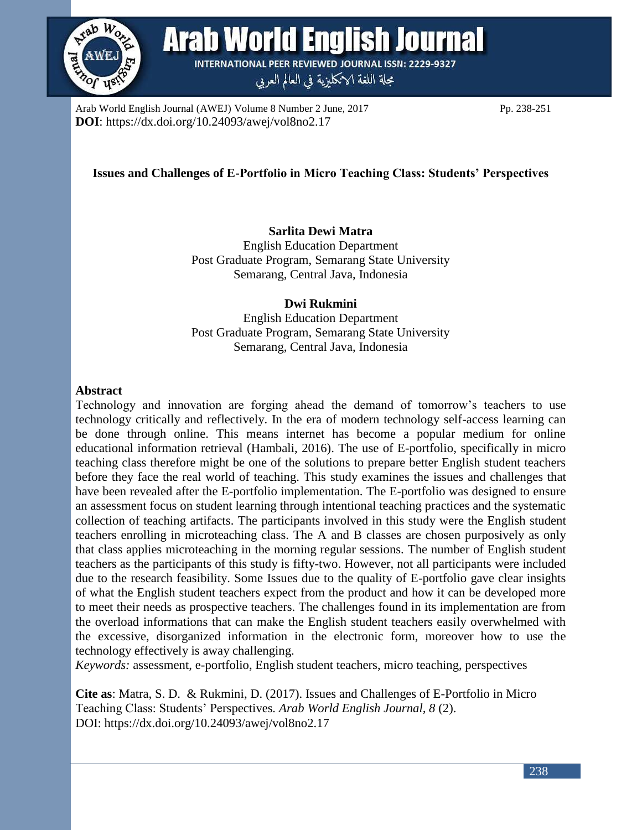

**Arab World English Journal INTERNATIONAL PEER REVIEWED JOURNAL ISSN: 2229-9327** 

مجلة اللغة الانكليزية في العالم العربي

Arab World English Journal (AWEJ) Volume 8 Number 2 June, 2017 Pp. 238-251 **DOI**: https://dx.doi.org/10.24093/awej/vol8no2.17

# **Issues and Challenges of E-Portfolio in Micro Teaching Class: Students' Perspectives**

# **Sarlita Dewi Matra**

English Education Department Post Graduate Program, Semarang State University Semarang, Central Java, Indonesia

## **Dwi Rukmini**

English Education Department Post Graduate Program, Semarang State University Semarang, Central Java, Indonesia

#### **Abstract**

Technology and innovation are forging ahead the demand of tomorrow's teachers to use technology critically and reflectively. In the era of modern technology self-access learning can be done through online. This means internet has become a popular medium for online educational information retrieval (Hambali, 2016). The use of E-portfolio, specifically in micro teaching class therefore might be one of the solutions to prepare better English student teachers before they face the real world of teaching. This study examines the issues and challenges that have been revealed after the E-portfolio implementation. The E-portfolio was designed to ensure an assessment focus on student learning through intentional teaching practices and the systematic collection of teaching artifacts. The participants involved in this study were the English student teachers enrolling in microteaching class. The A and B classes are chosen purposively as only that class applies microteaching in the morning regular sessions. The number of English student teachers as the participants of this study is fifty-two. However, not all participants were included due to the research feasibility. Some Issues due to the quality of E-portfolio gave clear insights of what the English student teachers expect from the product and how it can be developed more to meet their needs as prospective teachers. The challenges found in its implementation are from the overload informations that can make the English student teachers easily overwhelmed with the excessive, disorganized information in the electronic form, moreover how to use the technology effectively is away challenging.

*Keywords:* assessment, e-portfolio, English student teachers, micro teaching, perspectives

**Cite as**: Matra, S. D. & Rukmini, D. (2017). Issues and Challenges of E-Portfolio in Micro Teaching Class: Students' Perspectives*. Arab World English Journal, 8* (2). DOI: https://dx.doi.org/10.24093/awej/vol8no2.17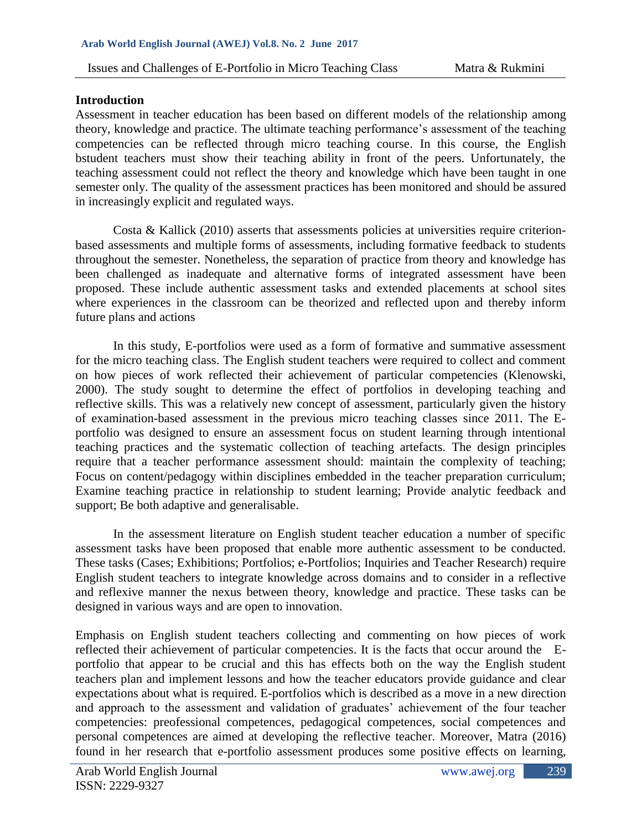#### **Introduction**

Assessment in teacher education has been based on different models of the relationship among theory, knowledge and practice. The ultimate teaching performance's assessment of the teaching competencies can be reflected through micro teaching course. In this course, the English bstudent teachers must show their teaching ability in front of the peers. Unfortunately, the teaching assessment could not reflect the theory and knowledge which have been taught in one semester only. The quality of the assessment practices has been monitored and should be assured in increasingly explicit and regulated ways.

Costa & Kallick (2010) asserts that assessments policies at universities require criterionbased assessments and multiple forms of assessments, including formative feedback to students throughout the semester. Nonetheless, the separation of practice from theory and knowledge has been challenged as inadequate and alternative forms of integrated assessment have been proposed. These include authentic assessment tasks and extended placements at school sites where experiences in the classroom can be theorized and reflected upon and thereby inform future plans and actions

In this study, E-portfolios were used as a form of formative and summative assessment for the micro teaching class. The English student teachers were required to collect and comment on how pieces of work reflected their achievement of particular competencies (Klenowski, 2000). The study sought to determine the effect of portfolios in developing teaching and reflective skills. This was a relatively new concept of assessment, particularly given the history of examination-based assessment in the previous micro teaching classes since 2011. The Eportfolio was designed to ensure an assessment focus on student learning through intentional teaching practices and the systematic collection of teaching artefacts. The design principles require that a teacher performance assessment should: maintain the complexity of teaching; Focus on content/pedagogy within disciplines embedded in the teacher preparation curriculum; Examine teaching practice in relationship to student learning; Provide analytic feedback and support; Be both adaptive and generalisable.

In the assessment literature on English student teacher education a number of specific assessment tasks have been proposed that enable more authentic assessment to be conducted. These tasks (Cases; Exhibitions; Portfolios; e-Portfolios; Inquiries and Teacher Research) require English student teachers to integrate knowledge across domains and to consider in a reflective and reflexive manner the nexus between theory, knowledge and practice. These tasks can be designed in various ways and are open to innovation.

Emphasis on English student teachers collecting and commenting on how pieces of work reflected their achievement of particular competencies. It is the facts that occur around the Eportfolio that appear to be crucial and this has effects both on the way the English student teachers plan and implement lessons and how the teacher educators provide guidance and clear expectations about what is required. E-portfolios which is described as a move in a new direction and approach to the assessment and validation of graduates' achievement of the four teacher competencies: preofessional competences, pedagogical competences, social competences and personal competences are aimed at developing the reflective teacher. Moreover, Matra (2016) found in her research that e-portfolio assessment produces some positive effects on learning,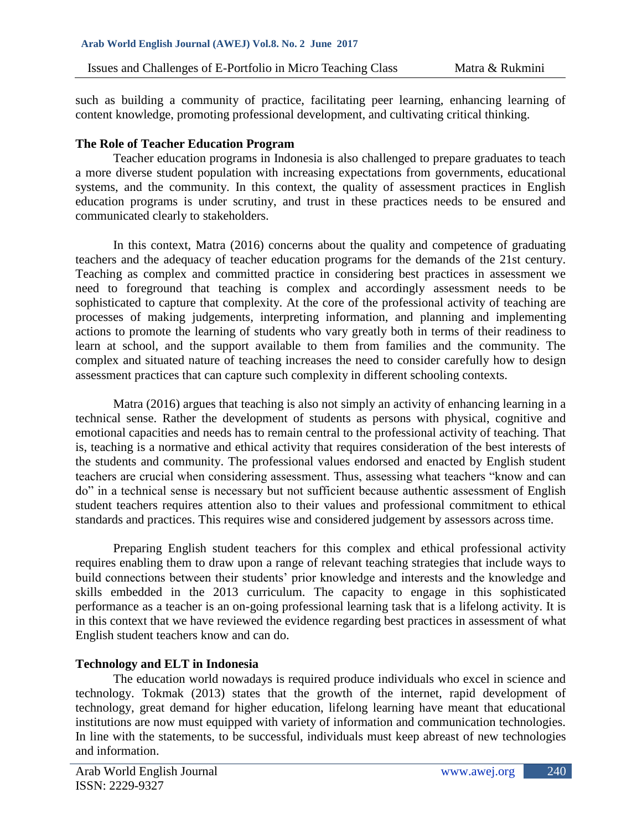such as building a community of practice, facilitating peer learning, enhancing learning of content knowledge, promoting professional development, and cultivating critical thinking.

## **The Role of Teacher Education Program**

Teacher education programs in Indonesia is also challenged to prepare graduates to teach a more diverse student population with increasing expectations from governments, educational systems, and the community. In this context, the quality of assessment practices in English education programs is under scrutiny, and trust in these practices needs to be ensured and communicated clearly to stakeholders.

In this context, Matra (2016) concerns about the quality and competence of graduating teachers and the adequacy of teacher education programs for the demands of the 21st century. Teaching as complex and committed practice in considering best practices in assessment we need to foreground that teaching is complex and accordingly assessment needs to be sophisticated to capture that complexity. At the core of the professional activity of teaching are processes of making judgements, interpreting information, and planning and implementing actions to promote the learning of students who vary greatly both in terms of their readiness to learn at school, and the support available to them from families and the community. The complex and situated nature of teaching increases the need to consider carefully how to design assessment practices that can capture such complexity in different schooling contexts.

Matra (2016) argues that teaching is also not simply an activity of enhancing learning in a technical sense. Rather the development of students as persons with physical, cognitive and emotional capacities and needs has to remain central to the professional activity of teaching. That is, teaching is a normative and ethical activity that requires consideration of the best interests of the students and community. The professional values endorsed and enacted by English student teachers are crucial when considering assessment. Thus, assessing what teachers "know and can do" in a technical sense is necessary but not sufficient because authentic assessment of English student teachers requires attention also to their values and professional commitment to ethical standards and practices. This requires wise and considered judgement by assessors across time.

Preparing English student teachers for this complex and ethical professional activity requires enabling them to draw upon a range of relevant teaching strategies that include ways to build connections between their students' prior knowledge and interests and the knowledge and skills embedded in the 2013 curriculum. The capacity to engage in this sophisticated performance as a teacher is an on-going professional learning task that is a lifelong activity. It is in this context that we have reviewed the evidence regarding best practices in assessment of what English student teachers know and can do.

# **Technology and ELT in Indonesia**

The education world nowadays is required produce individuals who excel in science and technology. Tokmak (2013) states that the growth of the internet, rapid development of technology, great demand for higher education, lifelong learning have meant that educational institutions are now must equipped with variety of information and communication technologies. In line with the statements, to be successful, individuals must keep abreast of new technologies and information.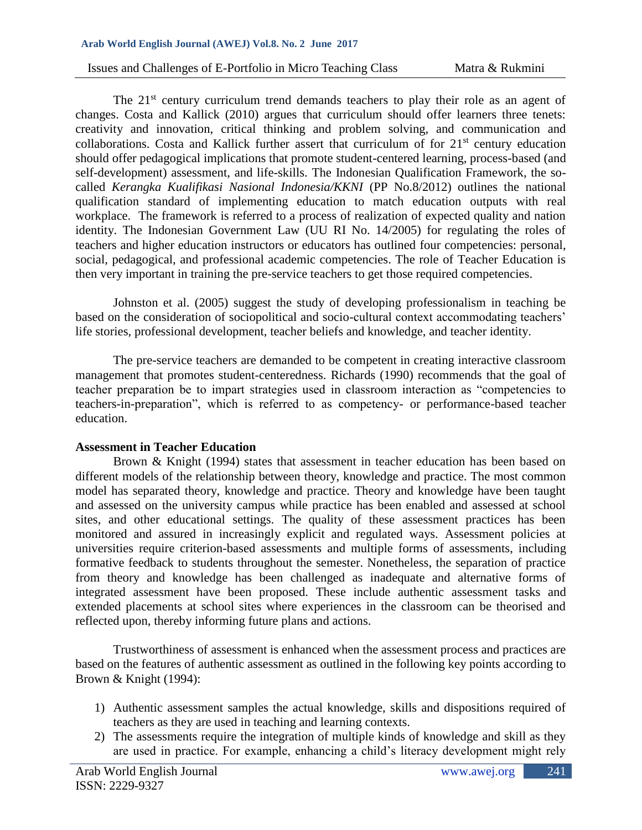#### **Arab World English Journal (AWEJ) Vol.8. No. 2 June 2017**

The 21<sup>st</sup> century curriculum trend demands teachers to play their role as an agent of changes. Costa and Kallick (2010) argues that curriculum should offer learners three tenets: creativity and innovation, critical thinking and problem solving, and communication and collaborations. Costa and Kallick further assert that curriculum of for 21<sup>st</sup> century education should offer pedagogical implications that promote student-centered learning, process-based (and self-development) assessment, and life-skills. The Indonesian Qualification Framework, the socalled *Kerangka Kualifikasi Nasional Indonesia/KKNI* (PP No.8/2012) outlines the national qualification standard of implementing education to match education outputs with real workplace. The framework is referred to a process of realization of expected quality and nation identity. The Indonesian Government Law (UU RI No. 14/2005) for regulating the roles of teachers and higher education instructors or educators has outlined four competencies: personal, social, pedagogical, and professional academic competencies. The role of Teacher Education is then very important in training the pre-service teachers to get those required competencies.

Johnston et al. (2005) suggest the study of developing professionalism in teaching be based on the consideration of sociopolitical and socio-cultural context accommodating teachers' life stories, professional development, teacher beliefs and knowledge, and teacher identity.

The pre-service teachers are demanded to be competent in creating interactive classroom management that promotes student-centeredness. Richards (1990) recommends that the goal of teacher preparation be to impart strategies used in classroom interaction as "competencies to teachers-in-preparation", which is referred to as competency- or performance-based teacher education.

#### **Assessment in Teacher Education**

Brown & Knight (1994) states that assessment in teacher education has been based on different models of the relationship between theory, knowledge and practice. The most common model has separated theory, knowledge and practice. Theory and knowledge have been taught and assessed on the university campus while practice has been enabled and assessed at school sites, and other educational settings. The quality of these assessment practices has been monitored and assured in increasingly explicit and regulated ways. Assessment policies at universities require criterion-based assessments and multiple forms of assessments, including formative feedback to students throughout the semester. Nonetheless, the separation of practice from theory and knowledge has been challenged as inadequate and alternative forms of integrated assessment have been proposed. These include authentic assessment tasks and extended placements at school sites where experiences in the classroom can be theorised and reflected upon, thereby informing future plans and actions.

Trustworthiness of assessment is enhanced when the assessment process and practices are based on the features of authentic assessment as outlined in the following key points according to Brown & Knight (1994):

- 1) Authentic assessment samples the actual knowledge, skills and dispositions required of teachers as they are used in teaching and learning contexts.
- 2) The assessments require the integration of multiple kinds of knowledge and skill as they are used in practice. For example, enhancing a child's literacy development might rely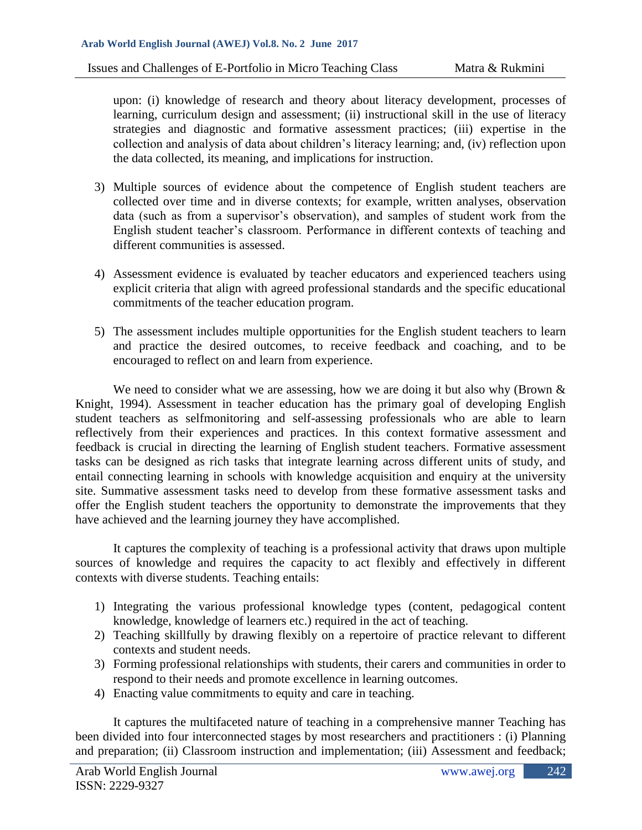upon: (i) knowledge of research and theory about literacy development, processes of learning, curriculum design and assessment; (ii) instructional skill in the use of literacy strategies and diagnostic and formative assessment practices; (iii) expertise in the collection and analysis of data about children's literacy learning; and, (iv) reflection upon the data collected, its meaning, and implications for instruction.

- 3) Multiple sources of evidence about the competence of English student teachers are collected over time and in diverse contexts; for example, written analyses, observation data (such as from a supervisor's observation), and samples of student work from the English student teacher's classroom. Performance in different contexts of teaching and different communities is assessed.
- 4) Assessment evidence is evaluated by teacher educators and experienced teachers using explicit criteria that align with agreed professional standards and the specific educational commitments of the teacher education program.
- 5) The assessment includes multiple opportunities for the English student teachers to learn and practice the desired outcomes, to receive feedback and coaching, and to be encouraged to reflect on and learn from experience.

We need to consider what we are assessing, how we are doing it but also why (Brown & Knight, 1994). Assessment in teacher education has the primary goal of developing English student teachers as selfmonitoring and self-assessing professionals who are able to learn reflectively from their experiences and practices. In this context formative assessment and feedback is crucial in directing the learning of English student teachers. Formative assessment tasks can be designed as rich tasks that integrate learning across different units of study, and entail connecting learning in schools with knowledge acquisition and enquiry at the university site. Summative assessment tasks need to develop from these formative assessment tasks and offer the English student teachers the opportunity to demonstrate the improvements that they have achieved and the learning journey they have accomplished.

It captures the complexity of teaching is a professional activity that draws upon multiple sources of knowledge and requires the capacity to act flexibly and effectively in different contexts with diverse students. Teaching entails:

- 1) Integrating the various professional knowledge types (content, pedagogical content knowledge, knowledge of learners etc.) required in the act of teaching.
- 2) Teaching skillfully by drawing flexibly on a repertoire of practice relevant to different contexts and student needs.
- 3) Forming professional relationships with students, their carers and communities in order to respond to their needs and promote excellence in learning outcomes.
- 4) Enacting value commitments to equity and care in teaching.

It captures the multifaceted nature of teaching in a comprehensive manner Teaching has been divided into four interconnected stages by most researchers and practitioners : (i) Planning and preparation; (ii) Classroom instruction and implementation; (iii) Assessment and feedback;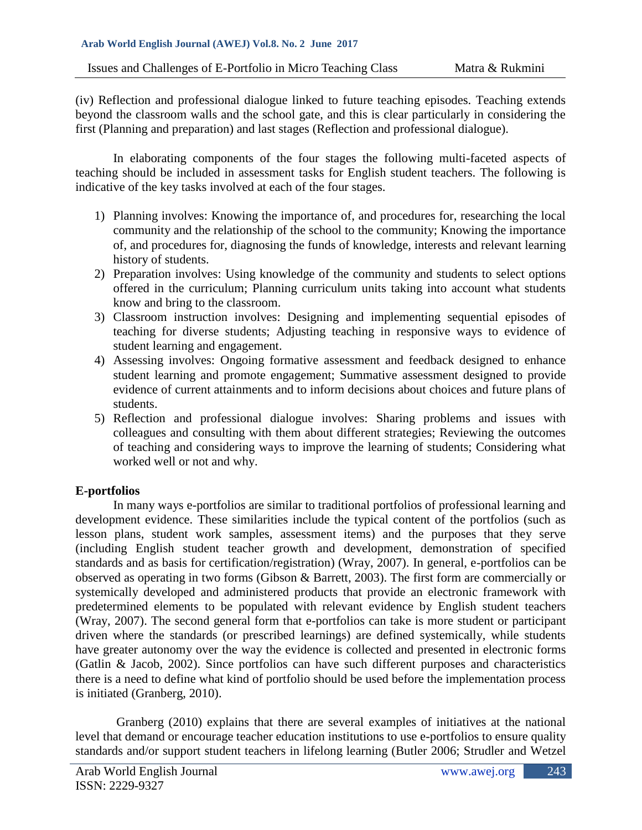(iv) Reflection and professional dialogue linked to future teaching episodes. Teaching extends beyond the classroom walls and the school gate, and this is clear particularly in considering the first (Planning and preparation) and last stages (Reflection and professional dialogue).

In elaborating components of the four stages the following multi-faceted aspects of teaching should be included in assessment tasks for English student teachers. The following is indicative of the key tasks involved at each of the four stages.

- 1) Planning involves: Knowing the importance of, and procedures for, researching the local community and the relationship of the school to the community; Knowing the importance of, and procedures for, diagnosing the funds of knowledge, interests and relevant learning history of students.
- 2) Preparation involves: Using knowledge of the community and students to select options offered in the curriculum; Planning curriculum units taking into account what students know and bring to the classroom.
- 3) Classroom instruction involves: Designing and implementing sequential episodes of teaching for diverse students; Adjusting teaching in responsive ways to evidence of student learning and engagement.
- 4) Assessing involves: Ongoing formative assessment and feedback designed to enhance student learning and promote engagement; Summative assessment designed to provide evidence of current attainments and to inform decisions about choices and future plans of students.
- 5) Reflection and professional dialogue involves: Sharing problems and issues with colleagues and consulting with them about different strategies; Reviewing the outcomes of teaching and considering ways to improve the learning of students; Considering what worked well or not and why.

## **E-portfolios**

In many ways e-portfolios are similar to traditional portfolios of professional learning and development evidence. These similarities include the typical content of the portfolios (such as lesson plans, student work samples, assessment items) and the purposes that they serve (including English student teacher growth and development, demonstration of specified standards and as basis for certification/registration) (Wray, 2007). In general, e-portfolios can be observed as operating in two forms (Gibson & Barrett, 2003). The first form are commercially or systemically developed and administered products that provide an electronic framework with predetermined elements to be populated with relevant evidence by English student teachers (Wray, 2007). The second general form that e-portfolios can take is more student or participant driven where the standards (or prescribed learnings) are defined systemically, while students have greater autonomy over the way the evidence is collected and presented in electronic forms (Gatlin & Jacob, 2002). Since portfolios can have such different purposes and characteristics there is a need to define what kind of portfolio should be used before the implementation process is initiated (Granberg, 2010).

Granberg (2010) explains that there are several examples of initiatives at the national level that demand or encourage teacher education institutions to use e-portfolios to ensure quality standards and/or support student teachers in lifelong learning (Butler 2006; Strudler and Wetzel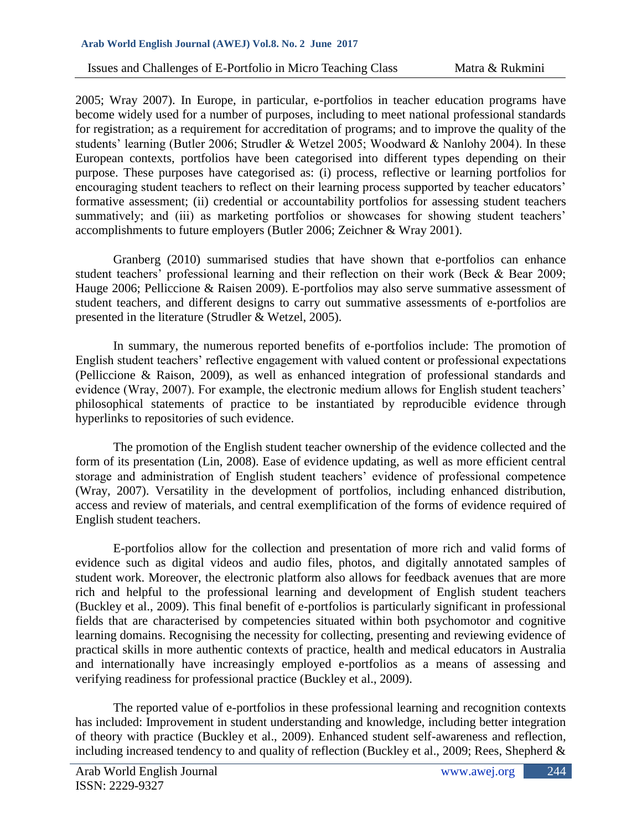2005; Wray 2007). In Europe, in particular, e-portfolios in teacher education programs have become widely used for a number of purposes, including to meet national professional standards for registration; as a requirement for accreditation of programs; and to improve the quality of the students' learning (Butler 2006; Strudler & Wetzel 2005; Woodward & Nanlohy 2004). In these European contexts, portfolios have been categorised into different types depending on their purpose. These purposes have categorised as: (i) process, reflective or learning portfolios for encouraging student teachers to reflect on their learning process supported by teacher educators' formative assessment; (ii) credential or accountability portfolios for assessing student teachers summatively; and (iii) as marketing portfolios or showcases for showing student teachers' accomplishments to future employers (Butler 2006; Zeichner & Wray 2001).

Granberg (2010) summarised studies that have shown that e-portfolios can enhance student teachers' professional learning and their reflection on their work (Beck & Bear 2009; Hauge 2006; Pelliccione & Raisen 2009). E-portfolios may also serve summative assessment of student teachers, and different designs to carry out summative assessments of e-portfolios are presented in the literature (Strudler & Wetzel, 2005).

In summary, the numerous reported benefits of e-portfolios include: The promotion of English student teachers' reflective engagement with valued content or professional expectations (Pelliccione & Raison, 2009), as well as enhanced integration of professional standards and evidence (Wray, 2007). For example, the electronic medium allows for English student teachers' philosophical statements of practice to be instantiated by reproducible evidence through hyperlinks to repositories of such evidence.

The promotion of the English student teacher ownership of the evidence collected and the form of its presentation (Lin, 2008). Ease of evidence updating, as well as more efficient central storage and administration of English student teachers' evidence of professional competence (Wray, 2007). Versatility in the development of portfolios, including enhanced distribution, access and review of materials, and central exemplification of the forms of evidence required of English student teachers.

E-portfolios allow for the collection and presentation of more rich and valid forms of evidence such as digital videos and audio files, photos, and digitally annotated samples of student work. Moreover, the electronic platform also allows for feedback avenues that are more rich and helpful to the professional learning and development of English student teachers (Buckley et al., 2009). This final benefit of e-portfolios is particularly significant in professional fields that are characterised by competencies situated within both psychomotor and cognitive learning domains. Recognising the necessity for collecting, presenting and reviewing evidence of practical skills in more authentic contexts of practice, health and medical educators in Australia and internationally have increasingly employed e-portfolios as a means of assessing and verifying readiness for professional practice (Buckley et al., 2009).

The reported value of e-portfolios in these professional learning and recognition contexts has included: Improvement in student understanding and knowledge, including better integration of theory with practice (Buckley et al., 2009). Enhanced student self-awareness and reflection, including increased tendency to and quality of reflection (Buckley et al., 2009; Rees, Shepherd &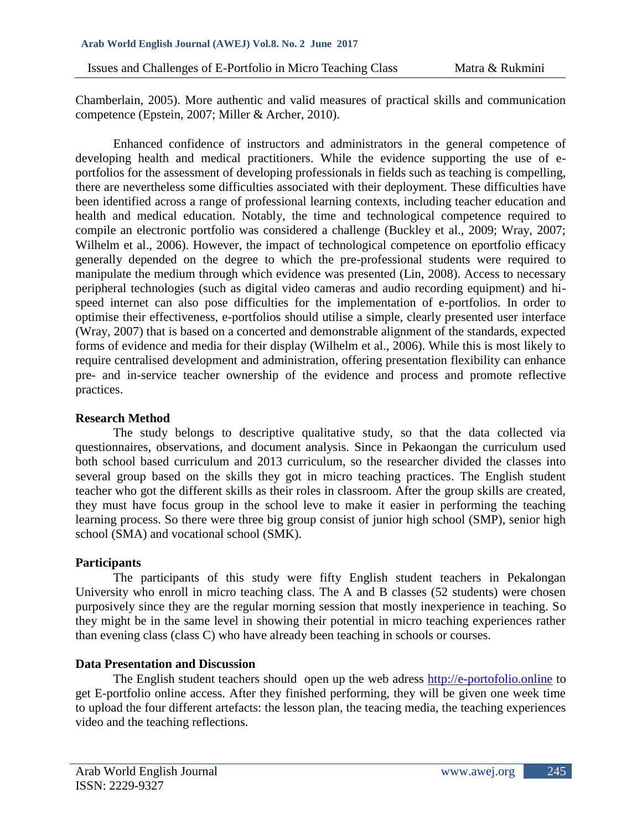Issues and Challenges of E-Portfolio in Micro Teaching Class Matra & Rukmini

Chamberlain, 2005). More authentic and valid measures of practical skills and communication competence (Epstein, 2007; Miller & Archer, 2010).

Enhanced confidence of instructors and administrators in the general competence of developing health and medical practitioners. While the evidence supporting the use of eportfolios for the assessment of developing professionals in fields such as teaching is compelling, there are nevertheless some difficulties associated with their deployment. These difficulties have been identified across a range of professional learning contexts, including teacher education and health and medical education. Notably, the time and technological competence required to compile an electronic portfolio was considered a challenge (Buckley et al., 2009; Wray, 2007; Wilhelm et al., 2006). However, the impact of technological competence on eportfolio efficacy generally depended on the degree to which the pre-professional students were required to manipulate the medium through which evidence was presented (Lin, 2008). Access to necessary peripheral technologies (such as digital video cameras and audio recording equipment) and hispeed internet can also pose difficulties for the implementation of e-portfolios. In order to optimise their effectiveness, e-portfolios should utilise a simple, clearly presented user interface (Wray, 2007) that is based on a concerted and demonstrable alignment of the standards, expected forms of evidence and media for their display (Wilhelm et al., 2006). While this is most likely to require centralised development and administration, offering presentation flexibility can enhance pre- and in-service teacher ownership of the evidence and process and promote reflective practices.

#### **Research Method**

The study belongs to descriptive qualitative study, so that the data collected via questionnaires, observations, and document analysis. Since in Pekaongan the curriculum used both school based curriculum and 2013 curriculum, so the researcher divided the classes into several group based on the skills they got in micro teaching practices. The English student teacher who got the different skills as their roles in classroom. After the group skills are created, they must have focus group in the school leve to make it easier in performing the teaching learning process. So there were three big group consist of junior high school (SMP), senior high school (SMA) and vocational school (SMK).

## **Participants**

The participants of this study were fifty English student teachers in Pekalongan University who enroll in micro teaching class. The A and B classes (52 students) were chosen purposively since they are the regular morning session that mostly inexperience in teaching. So they might be in the same level in showing their potential in micro teaching experiences rather than evening class (class C) who have already been teaching in schools or courses.

## **Data Presentation and Discussion**

The English student teachers should open up the web adress [http://e-portofolio.online](http://e-portofolio.online/) to get E-portfolio online access. After they finished performing, they will be given one week time to upload the four different artefacts: the lesson plan, the teacing media, the teaching experiences video and the teaching reflections.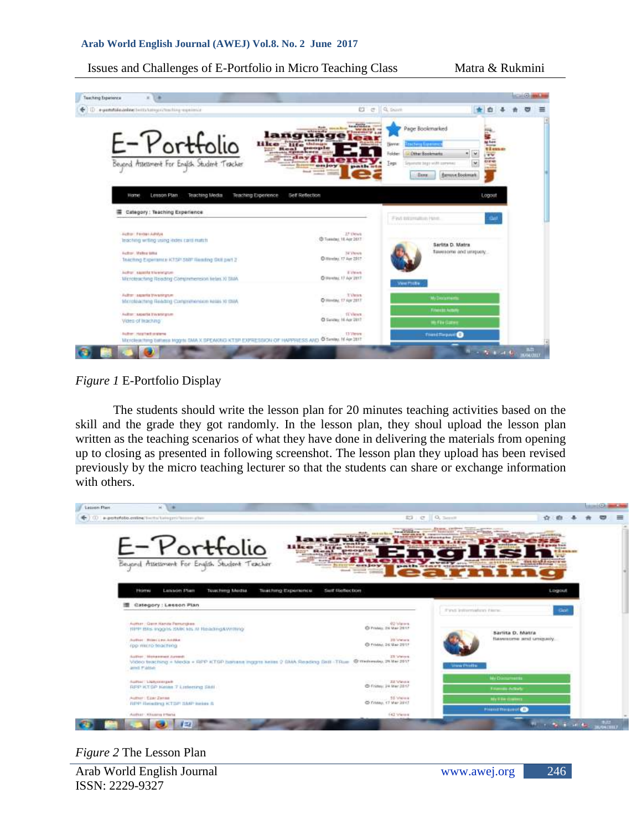#### Issues and Challenges of E-Portfolio in Micro Teaching Class Matra & Rukmini



## *Figure 1* E-Portfolio Display

The students should write the lesson plan for 20 minutes teaching activities based on the skill and the grade they got randomly. In the lesson plan, they shoul upload the lesson plan written as the teaching scenarios of what they have done in delivering the materials from opening up to closing as presented in following screenshot. The lesson plan they upload has been revised previously by the micro teaching lecturer so that the students can share or exchange information with others.

| Legion Plan                                                                                                                                                      |                                                                                                                                                                                                                                                                                                | <b>MARKET CARDS</b>                                                   |
|------------------------------------------------------------------------------------------------------------------------------------------------------------------|------------------------------------------------------------------------------------------------------------------------------------------------------------------------------------------------------------------------------------------------------------------------------------------------|-----------------------------------------------------------------------|
| (ii) in portofolio antine/techs/belogari/tecommunity                                                                                                             | 83 e 0.3mm                                                                                                                                                                                                                                                                                     | ÷                                                                     |
| E-Portfolio<br>11 Aces<br>Beyond Assessment For English Student Teacher                                                                                          | <b><i><u>American Product of the</u></i></b><br>language)<br> -<br><b><i><u>AMARCHING MONTH ARE COMMUNISTIC</u></i></b><br><b>SERIEST &amp; LEASENSHIP</b><br>$180 -$<br>an ar still of arrest in<br>In concess appeal peace of<br>gaments ortened attenuation<br><b>Hook Winnipeg College</b> | .<br>grants from<br><b><i><u><i><u><b>TRANSER</b></u></i></u></i></b> |
| Lesson Pann<br><b>Tussching Media</b><br>Tital thing Experience<br>HUTH<br>Category: Lesson Plan                                                                 | Self Reflection<br>Find information facts.                                                                                                                                                                                                                                                     | Logout<br>Got                                                         |
| Author: Gern Nanzia Pemingkee-<br>production and controlled pro-<br>1978 Blis inggins SMK Ms # Reading&Writing<br>Author: Hrim Les Andres<br>FOD WILLIO BRACHING | Hollywood AD Maries<br>O Frates 26 Mar 2017<br>200 Voltation to<br>C Friday, 26 Mar 2017                                                                                                                                                                                                       | Sarlita D. Matra<br>flawersome and uniquely.                          |
| Salfrer / Monacowol Jureault<br>Video twaching + Media + RPP KTGP bahasa Inggris keliat 2 GMA Reading Ssill TRue @ methesiky, 24 Met 2017<br>and False           | ZX Weters<br><b>WHAT PERSON</b>                                                                                                                                                                                                                                                                |                                                                       |
| Autom: Liphysterator                                                                                                                                             | CONTRACTOR COMMUNIST                                                                                                                                                                                                                                                                           | <b>No Discurrents</b>                                                 |
| <b>RPP KTGP Keller 7 Listening SMF</b>                                                                                                                           | @-Friday: J/4 Mar 2817                                                                                                                                                                                                                                                                         | <b>Financial Activity</b>                                             |
| Author: Ezer Zenea<br><b>RPP Results) KTBP SMP liming &amp;</b>                                                                                                  | @ Friday, 17 Mar 2917                                                                                                                                                                                                                                                                          | <b>No Elim Gallery</b>                                                |
| Author: Hitaarra Irtteria                                                                                                                                        | 142 Vietna                                                                                                                                                                                                                                                                                     | <b>Primout Required CD</b>                                            |
|                                                                                                                                                                  |                                                                                                                                                                                                                                                                                                | <b>Black of the Age</b><br>- 1522<br>Koncorre                         |

#### *Figure 2* The Lesson Plan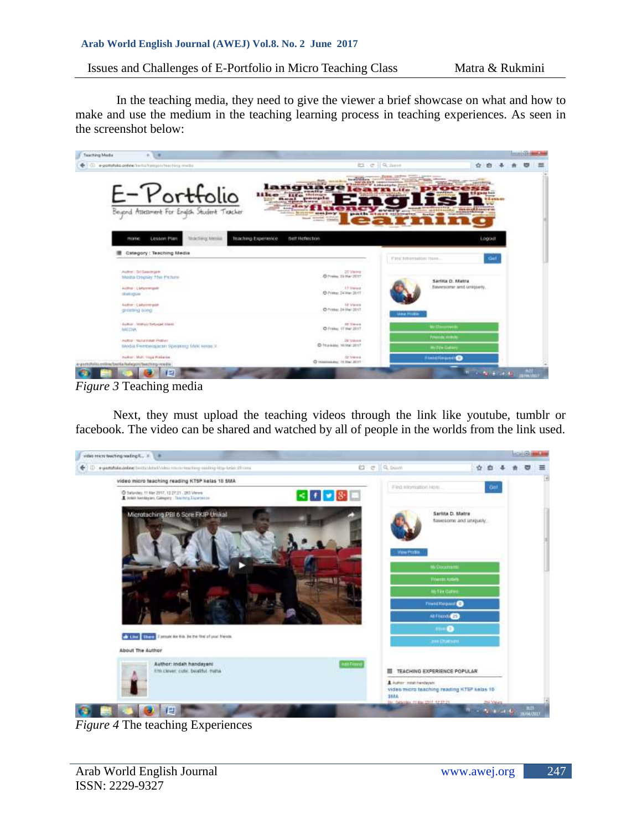Issues and Challenges of E-Portfolio in Micro Teaching Class Matra & Rukmini

In the teaching media, they need to give the viewer a brief showcase on what and how to make and use the medium in the teaching learning process in teaching experiences. As seen in the screenshot below:



*Figure 3* Teaching media

Next, they must upload the teaching videos through the link like youtube, tumblr or facebook. The video can be shared and watched by all of people in the worlds from the link used.



*Figure 4* The teaching Experiences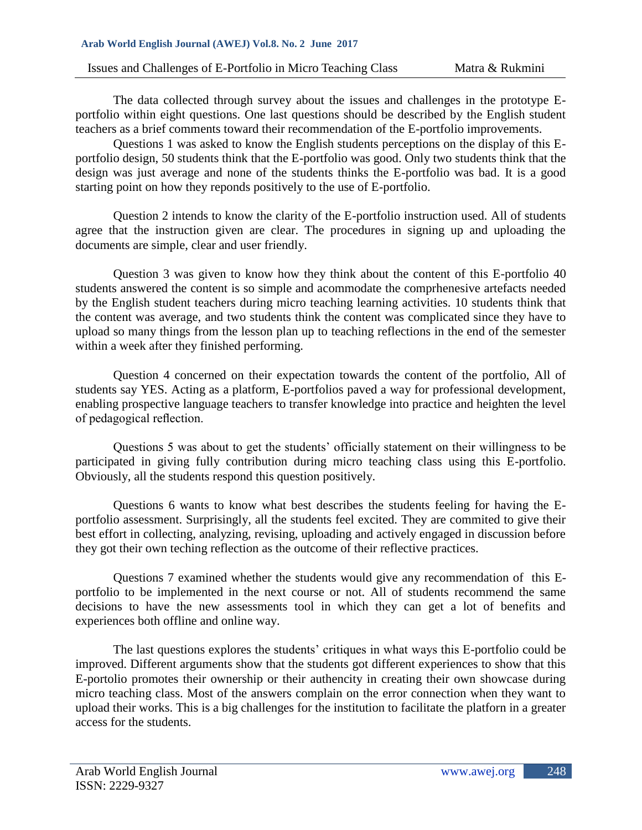The data collected through survey about the issues and challenges in the prototype Eportfolio within eight questions. One last questions should be described by the English student teachers as a brief comments toward their recommendation of the E-portfolio improvements.

Questions 1 was asked to know the English students perceptions on the display of this Eportfolio design, 50 students think that the E-portfolio was good. Only two students think that the design was just average and none of the students thinks the E-portfolio was bad. It is a good starting point on how they reponds positively to the use of E-portfolio.

Question 2 intends to know the clarity of the E-portfolio instruction used. All of students agree that the instruction given are clear. The procedures in signing up and uploading the documents are simple, clear and user friendly.

Question 3 was given to know how they think about the content of this E-portfolio 40 students answered the content is so simple and acommodate the comprhenesive artefacts needed by the English student teachers during micro teaching learning activities. 10 students think that the content was average, and two students think the content was complicated since they have to upload so many things from the lesson plan up to teaching reflections in the end of the semester within a week after they finished performing.

Question 4 concerned on their expectation towards the content of the portfolio, All of students say YES. Acting as a platform, E-portfolios paved a way for professional development, enabling prospective language teachers to transfer knowledge into practice and heighten the level of pedagogical reflection.

Questions 5 was about to get the students' officially statement on their willingness to be participated in giving fully contribution during micro teaching class using this E-portfolio. Obviously, all the students respond this question positively.

Questions 6 wants to know what best describes the students feeling for having the Eportfolio assessment. Surprisingly, all the students feel excited. They are commited to give their best effort in collecting, analyzing, revising, uploading and actively engaged in discussion before they got their own teching reflection as the outcome of their reflective practices.

Questions 7 examined whether the students would give any recommendation of this Eportfolio to be implemented in the next course or not. All of students recommend the same decisions to have the new assessments tool in which they can get a lot of benefits and experiences both offline and online way.

The last questions explores the students' critiques in what ways this E-portfolio could be improved. Different arguments show that the students got different experiences to show that this E-portolio promotes their ownership or their authencity in creating their own showcase during micro teaching class. Most of the answers complain on the error connection when they want to upload their works. This is a big challenges for the institution to facilitate the platforn in a greater access for the students.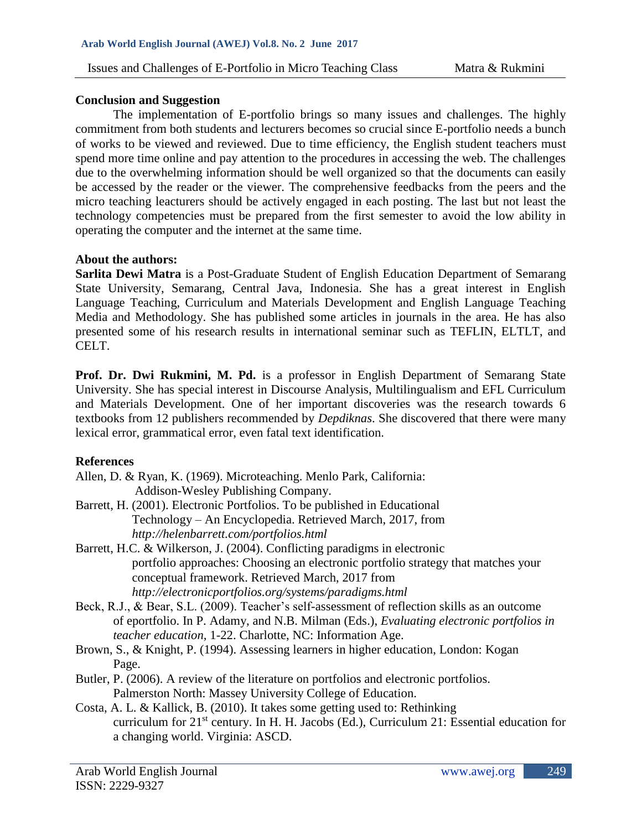#### **Conclusion and Suggestion**

The implementation of E-portfolio brings so many issues and challenges. The highly commitment from both students and lecturers becomes so crucial since E-portfolio needs a bunch of works to be viewed and reviewed. Due to time efficiency, the English student teachers must spend more time online and pay attention to the procedures in accessing the web. The challenges due to the overwhelming information should be well organized so that the documents can easily be accessed by the reader or the viewer. The comprehensive feedbacks from the peers and the micro teaching leacturers should be actively engaged in each posting. The last but not least the technology competencies must be prepared from the first semester to avoid the low ability in operating the computer and the internet at the same time.

#### **About the authors:**

**Sarlita Dewi Matra** is a Post-Graduate Student of English Education Department of Semarang State University, Semarang, Central Java, Indonesia. She has a great interest in English Language Teaching, Curriculum and Materials Development and English Language Teaching Media and Methodology. She has published some articles in journals in the area. He has also presented some of his research results in international seminar such as TEFLIN, ELTLT, and CELT.

**Prof. Dr. Dwi Rukmini, M. Pd.** is a professor in English Department of Semarang State University. She has special interest in Discourse Analysis, Multilingualism and EFL Curriculum and Materials Development. One of her important discoveries was the research towards 6 textbooks from 12 publishers recommended by *Depdiknas*. She discovered that there were many lexical error, grammatical error, even fatal text identification.

## **References**

- Allen, D. & Ryan, K. (1969). Microteaching. Menlo Park, California: Addison-Wesley Publishing Company.
- Barrett, H. (2001). Electronic Portfolios. To be published in Educational Technology – An Encyclopedia. Retrieved March, 2017, from *http://helenbarrett.com/portfolios.html*
- Barrett, H.C. & Wilkerson, J. (2004). Conflicting paradigms in electronic portfolio approaches: Choosing an electronic portfolio strategy that matches your conceptual framework. Retrieved March, 2017 from *http://electronicportfolios.org/systems/paradigms.html*
- Beck, R.J., & Bear, S.L. (2009). Teacher's self-assessment of reflection skills as an outcome of eportfolio. In P. Adamy, and N.B. Milman (Eds.), *Evaluating electronic portfolios in teacher education,* 1-22. Charlotte, NC: Information Age.
- Brown, S., & Knight, P. (1994). Assessing learners in higher education, London: Kogan Page.
- Butler, P. (2006). A review of the literature on portfolios and electronic portfolios. Palmerston North: Massey University College of Education.
- Costa, A. L. & Kallick, B. (2010). It takes some getting used to: Rethinking curriculum for 21<sup>st</sup> century. In H. H. Jacobs (Ed.), Curriculum 21: Essential education for a changing world. Virginia: ASCD.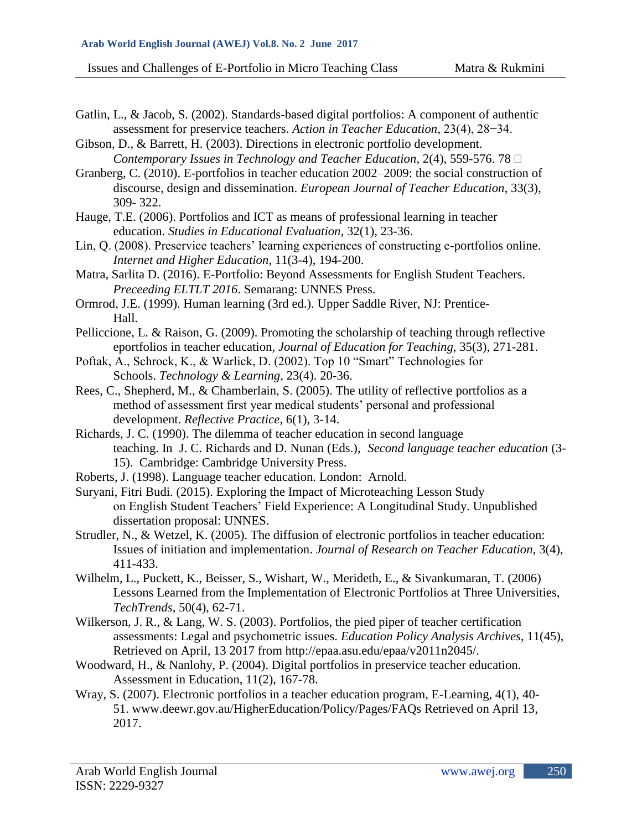Gatlin, L., & Jacob, S. (2002). Standards-based digital portfolios: A component of authentic assessment for preservice teachers. *Action in Teacher Education*, 23(4), 28−34.

Gibson, D., & Barrett, H. (2003). Directions in electronic portfolio development. *Contemporary Issues in Technology and Teacher Education*, 2(4), 559-576. 78

Granberg, C. (2010). E-portfolios in teacher education 2002–2009: the social construction of discourse, design and dissemination. *European Journal of Teacher Education*, 33(3), 309- 322.

Hauge, T.E. (2006). Portfolios and ICT as means of professional learning in teacher education. *Studies in Educational Evaluation*, 32(1), 23-36.

Lin, Q. (2008). Preservice teachers' learning experiences of constructing e-portfolios online. *Internet and Higher Education*, 11(3-4), 194-200.

Matra, Sarlita D. (2016). E-Portfolio: Beyond Assessments for English Student Teachers. *Preceeding ELTLT 2016*. Semarang: UNNES Press.

Ormrod, J.E. (1999). Human learning (3rd ed.). Upper Saddle River, NJ: Prentice-Hall.

Pelliccione, L. & Raison, G. (2009). Promoting the scholarship of teaching through reflective eportfolios in teacher education*, Journal of Education for Teaching*, 35(3), 271-281.

Poftak, A., Schrock, K., & Warlick, D. (2002). Top 10 "Smart" Technologies for Schools. *Technology & Learning*, 23(4). 20-36.

- Rees, C., Shepherd, M., & Chamberlain, S. (2005). The utility of reflective portfolios as a method of assessment first year medical students' personal and professional development. *Reflective Practice*, 6(1), 3-14.
- Richards, J. C. (1990). The dilemma of teacher education in second language teaching. In J. C. Richards and D. Nunan (Eds.), *Second language teacher education* (3- 15). Cambridge: Cambridge University Press.
- Roberts, J. (1998). Language teacher education. London: Arnold.

Suryani, Fitri Budi. (2015). Exploring the Impact of Microteaching Lesson Study on English Student Teachers' Field Experience: A Longitudinal Study. Unpublished dissertation proposal: UNNES.

- Strudler, N., & Wetzel, K. (2005). The diffusion of electronic portfolios in teacher education: Issues of initiation and implementation. *Journal of Research on Teacher Education*, 3(4), 411-433.
- Wilhelm, L., Puckett, K., Beisser, S., Wishart, W., Merideth, E., & Sivankumaran, T. (2006) Lessons Learned from the Implementation of Electronic Portfolios at Three Universities, *TechTrends,* 50(4), 62-71.
- Wilkerson, J. R., & Lang, W. S. (2003). Portfolios, the pied piper of teacher certification assessments: Legal and psychometric issues. *Education Policy Analysis Archives*, 11(45), Retrieved on April, 13 2017 from http://epaa.asu.edu/epaa/v2011n2045/.
- Woodward, H., & Nanlohy, P. (2004). Digital portfolios in preservice teacher education. Assessment in Education, 11(2), 167-78.
- Wray, S. (2007). Electronic portfolios in a teacher education program, E-Learning, 4(1), 40- 51. [www.deewr.gov.au/HigherEducation/Policy/Pages/FAQs Retrieved on April 13,](http://www.deewr.gov.au/HigherEducation/Policy/Pages/FAQs%20Retrieved%20on%20April%2013) 2017.